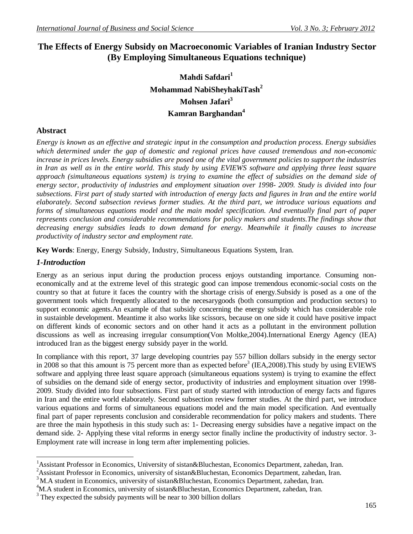# **The Effects of Energy Subsidy on Macroeconomic Variables of Iranian Industry Sector (By Employing Simultaneous Equations technique)**

# **Mahdi Safdari<sup>1</sup> Mohammad NabiSheyhakiTash<sup>2</sup> Mohsen Jafari<sup>3</sup> Kamran Barghandan<sup>4</sup>**

## **Abstract**

*Energy is known as an effective and strategic input in the consumption and production process. Energy subsidies which determined under the gap of domestic and regional prices have caused tremendous and non-economic increase in prices levels. Energy subsidies are posed one of the vital government policies to support the industries in Iran as well as in the entire world. This study by using EVIEWS software and applying three least square approach (simultaneous equations system) is trying to examine the effect of subsidies on the demand side of energy sector, productivity of industries and employment situation over 1998- 2009. Study is divided into four subsections. First part of study started with introduction of energy facts and figures in Iran and the entire world elaborately. Second subsection reviews former studies. At the third part, we introduce various equations and forms of simultaneous equations model and the main model specification. And eventually final part of paper represents conclusion and considerable recommendations for policy makers and students.The findings show that decreasing energy subsidies leads to down demand for energy. Meanwhile it finally causes to increase productivity of industry sector and employment rate.*

**Key Words**: Energy, Energy Subsidy, Industry, Simultaneous Equations System, Iran.

## *1-Introduction*

Energy as an serious input during the production process enjoys outstanding importance. Consuming noneconomically and at the extreme level of this strategic good can impose tremendous economic-social costs on the country so that at future it faces the country with the shortage crisis of energy.Subsidy is posed as a one of the government tools which frequently allocated to the necesarygoods (both consumption and production sectors) to support economic agents.An example of that subsidy concerning the energy subsidy which has considerable role in sustainble development. Meantime it also works like scissors, because on one side it could have positive impact on different kinds of economic sectors and on other hand it acts as a pollutant in the environment pollution discussions as well as increasing irregular consumption(Von Moltke,2004).International Energy Agency (IEA) introduced Iran as the biggest energy subsidy payer in the world.

In compliance with this report, 37 large developing countries pay 557 billion dollars subsidy in the energy sector in 2008 so that this amount is 75 percent more than as expected before<sup>3</sup> (IEA,2008). This study by using EVIEWS software and applying three least square approach (simultaneous equations system) is trying to examine the effect of subsidies on the demand side of energy sector, productivity of industries and employment situation over 1998- 2009. Study divided into four subsections. First part of study started with introduction of energy facts and figures in Iran and the entire world elaborately. Second subsection review former studies. At the third part, we introduce various equations and forms of simultaneous equations model and the main model specification. And eventually final part of paper represents conclusion and considerable recommendation for policy makers and students. There are three the main hypothesis in this study such as: 1- Decreasing energy subsidies have a negative impact on the demand side. 2- Applying these vital reforms in energy sector finally incline the productivity of industry sector. 3- Employment rate will increase in long term after implementing policies.

 $\overline{\phantom{a}}$ <sup>1</sup>Assistant Professor in Economics, University of sistan&Bluchestan, Economics Department, zahedan, Iran.

<sup>&</sup>lt;sup>2</sup>Assistant Professor in Economics, university of sistan&Bluchestan, Economics Department, zahedan, Iran.

 $3$ M.A student in Economics, university of sistan&Bluchestan, Economics Department, zahedan, Iran.

 $^{4}$ M.A student in Economics, university of sistan&Bluchestan, Economics Department, zahedan, Iran.

<sup>3</sup> They expected the subsidy payments will be near to 300 billion dollars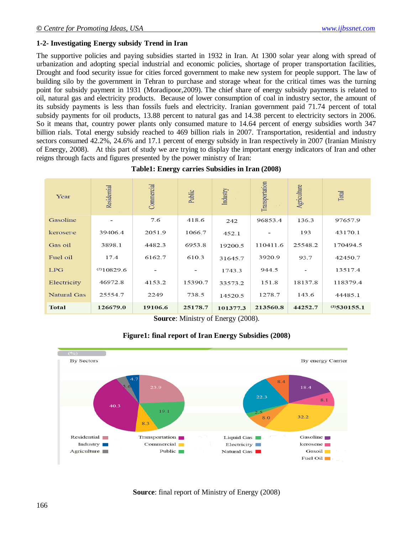#### **1-2- Investigating Energy subsidy Trend in Iran**

The supportive policies and paying subsidies started in 1932 in Iran. At 1300 solar year along with spread of urbanization and adopting special industrial and economic policies, shortage of proper transportation facilities, Drought and food security issue for cities forced government to make new system for people support. The law of building silo by the government in Tehran to purchase and storage wheat for the critical times was the turning point for subsidy payment in 1931 (Moradipoor,2009). The chief share of energy subsidy payments is related to oil, natural gas and electricity products. Because of lower consumption of coal in industry sector, the amount of its subsidy payments is less than fossils fuels and electricity. Iranian government paid 71.74 percent of total subsidy payments for oil products, 13.88 percent to natural gas and 14.38 percent to electricity sectors in 2006. So it means that, country power plants only consumed mature to 14.64 percent of energy subsidies worth 347 billion rials. Total energy subsidy reached to 469 billion rials in 2007. Transportation, residential and industry sectors consumed 42.2%, 24.6% and 17.1 percent of energy subsidy in Iran respectively in 2007 (Iranian Ministry of Energy, 2008). At this part of study we are trying to display the important energy indicators of Iran and other reigns through facts and figures presented by the power ministry of Iran:

| Year         | Residential     | Commercial | Public  | Industry | Transportation | Agriculture | Total          |
|--------------|-----------------|------------|---------|----------|----------------|-------------|----------------|
| Gasoline     |                 | 7.6        | 418.6   | 242      | 96853.4        | 136.3       | 97657.9        |
| kerosene     | 39406.4         | 2051.9     | 1066.7  | 452.1    |                | 193         | 43170.1        |
| Gas oil      | 3898.1          | 4482.3     | 6953.8  | 19200.5  | 110411.6       | 25548.2     | 170494.5       |
| Fuel oil     | 17.4            | 6162.7     | 610.3   | 31645.7  | 3920.9         | 93.7        | 42450.7        |
| <b>LPG</b>   | $^{(2)}10829.6$ |            |         | 1743.3   | 944.5          |             | 13517.4        |
| Electricity  | 46972.8         | 4153.2     | 15390.7 | 33573.2  | 151.8          | 18137.8     | 118379.4       |
| Natural Gas  | 25554.7         | 2249       | 738.5   | 14520.5  | 1278.7         | 143.6       | 44485.1        |
| <b>Total</b> | 126679.0        | 19106.6    | 25178.7 | 101377.3 | 213560.8       | 44252.7     | $(3)$ 530155.1 |

**Source**: Ministry of Energy (2008).





**Source**: final report of Ministry of Energy (2008)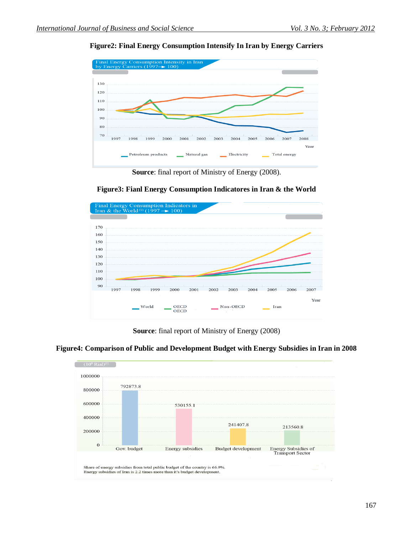## **Figure2: Final Energy Consumption Intensify In Iran by Energy Carriers**



**Source**: final report of Ministry of Energy (2008).



**Figure3: Fianl Energy Consumption Indicatores in Iran & the World**

**Source**: final report of Ministry of Energy (2008)



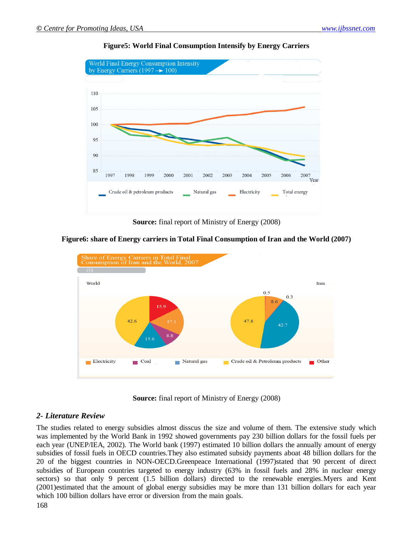

#### **Figure5: World Final Consumption Intensify by Energy Carriers**

**Source:** final report of Ministry of Energy (2008)



**Figure6: share of Energy carriers in Total Final Consumption of Iran and the World (2007)**

**Source:** final report of Ministry of Energy (2008)

#### *2- Literature Review*

The studies related to energy subsidies almost disscus the size and volume of them. The extensive study which was implemented by the World Bank in 1992 showed governments pay 230 billion dollars for the fossil fuels per each year (UNEP/IEA, 2002). The World bank (1997) estimated 10 billion dollars the annually amount of energy subsidies of fossil fuels in OECD countries.They also estimated subsidy payments aboat 48 billion dollars for the 20 of the biggest countries in NON-OECD.Greenpeace International (1997)stated that 90 percent of direct subsidies of European countries targeted to energy industry (63% in fossil fuels and 28% in nuclear energy sectors) so that only 9 percent (1.5 billion dollars) directed to the renewable energies.Myers and Kent (2001)estimated that the amount of global energy subsidies may be more than 131 billion dollars for each year which 100 billion dollars have error or diversion from the main goals.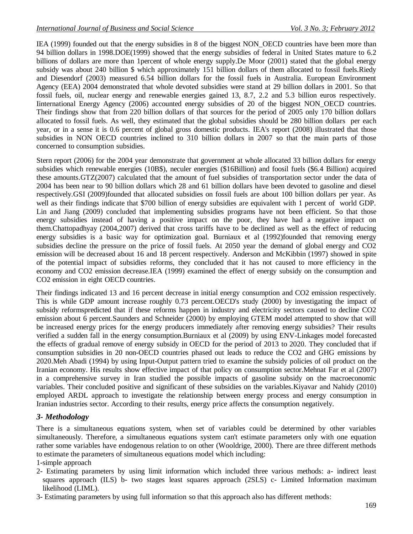IEA (1999) founded out that the energy subsidies in 8 of the biggest NON\_OECD countries have been more than 94 billion dollars in 1998.DOE(1999) showed that the energy subsidies of federal in United States mature to 6.2 billions of dollars are more than 1percent of whole energy supply.De Moor (2001) stated that the global energy subsidy was about 240 billion \$ which approximately 151 billion dollars of them allocated to fossil fuels.Riedy and Diesendorf (2003) measured 6.54 billion dollars for the fossil fuels in Australia. European Environment Agency (EEA) 2004 demonstrated that whole devoted subsidies were stand at 29 billion dollars in 2001. So that fossil fuels, oil, nuclear energy and renewable energies gained 13, 8.7, 2.2 and 5.3 billion euros respectively. Iinternational Energy Agency (2006) accounted energy subsidies of 20 of the biggest NON\_OECD countries. Their findings show that from 220 billion dollars of that sources for the period of 2005 only 170 billion dollars allocated to fossil fuels. As well, they estimated that the global subsidies should be 280 billion dollars per each year, or in a sense it is 0.6 percent of global gross domestic products. IEA's report (2008) illustrated that those subsidies in NON OECD countries inclined to 310 billion dollars in 2007 so that the main parts of those concerned to consumption subsidies.

Stern report (2006) for the 2004 year demonstrate that government at whole allocated 33 billion dollars for energy subsidies which renewable energies (10B\$), neculer energies (\$16Billion) and foosil fuels (\$6.4 Billion) acquired these amounts.GTZ(2007) calculated that the amount of fuel subsidies of transportation sector under the data of 2004 has been near to 90 billion dollars which 28 and 61 billion dollars have been devoted to gasoline and diesel respectively.GSI (2009)founded that allocated subsidies on fossil fuels are about 100 billion dollars per year. As well as their findings indicate that \$700 billion of energy subsidies are equivalent with 1 percent of world GDP. Lin and Jiang (2009) concluded that implementing subsidies programs have not been efficient. So that those energy subsidies instead of having a positive impact on the poor, they have had a negative impact on them.Chattopadhyay (2004,2007) derived that cross tariffs have to be declined as well as the effect of reducing energy subsidies is a basic way for optimization goal. Burniaux et al (1992)founded that removing energy subsidies decline the pressure on the price of fossil fuels. At 2050 year the demand of global energy and CO2 emission will be decreased about 16 and 18 percent respectively. Anderson and McKibbin (1997) showed in spite of the potential impact of subsidies reforms, they concluded that it has not caused to more efficiency in the economy and CO2 emission decrease.IEA (1999) examined the effect of energy subsidy on the consumption and CO2 emission in eight OECD countries.

Their findings indicated 13 and 16 percent decrease in initial energy consumption and CO2 emission respectively. This is while GDP amount increase roughly 0.73 percent.OECD's study (2000) by investigating the impact of subsidy reformspredicted that if these reforms happen in industry and electricity sectors caused to decline CO2 emission about 6 percent. Saunders and Schneider (2000) by employing GTEM model attempted to show that will be increased energy prices for the energy producers immediately after removing energy subsidies? Their results verified a sudden fall in the energy consumption.Burniaux et al (2009) by using ENV-Linkages model forecasted the effects of gradual remove of energy subsidy in OECD for the period of 2013 to 2020. They concluded that if consumption subsidies in 20 non-OECD countries phased out leads to reduce the CO2 and GHG emissions by 2020.Meh Abadi (1994) by using Input-Output pattern tried to examine the subsidy policies of oil product on the Iranian economy. His results show effective impact of that policy on consumption sector.Mehnat Far et al (2007) in a comprehensive survey in Iran studied the possible impacts of gasoline subsidy on the macroeconomic variables. Their concluded positive and significant of these subsidies on the variables.Kiyavar and Nahidy (2010) employed ARDL approach to investigate the relationship between energy process and energy consumption in Iranian industries sector. According to their results, energy price affects the consumption negatively.

## *3- Methodology*

There is a simultaneous equations system, when set of variables could be determined by other variables simultaneously. Therefore, a simultaneous equations system can't estimate parameters only with one equation rather some variables have endogenous relation to on other (Wooldrige, 2000). There are three different methods to estimate the parameters of simultaneous equations model which including:

1-simple approach

- 2- Estimating parameters by using limit information which included three various methods: a- indirect least squares approach (ILS) b- two stages least squares approach (2SLS) c- Limited Information maximum likelihood (LIML).
- 3- Estimating parameters by using full information so that this approach also has different methods: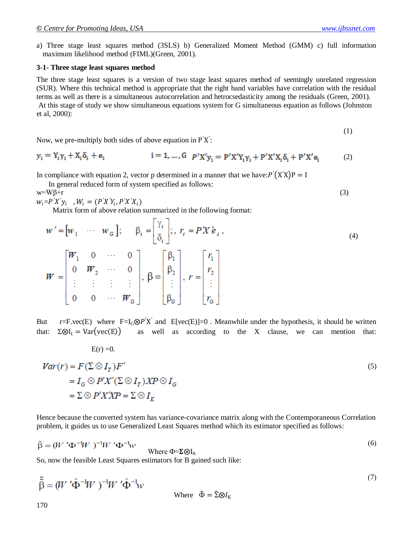a) Three stage least squares method (3SLS) b) Generalized Moment Method (GMM) c) full information maximum likelihood method (FIML)(Green, 2001).

#### **3-1- Three stage least squares method**

The three stage least squares is a version of two stage least squares method of seemingly unrelated regression (SUR). Where this technical method is appropriate that the right hand variables have correlation with the residual terms as well as there is a simultaneous autocorrelation and hetrocsedasticity among the residuals (Green, 2001). At this stage of study we show simultaneous equations system for G simultaneous equation as follows (Johnston et al, 2000):

$$
\mathcal{L} = \mathcal{L}
$$

Now, we pre-multiply both sides of above equation in 
$$
P'X'
$$
:

$$
y_i = Y_i \gamma_i + X_i \delta_i + e_i \qquad i = 1, ..., G \quad p' X' y_i = p' X' Y_i \gamma_i + p' X' X_i \delta_i + p' X' e_i \qquad (2)
$$

In compliance with equation 2, vector p determined in a manner that we have:  $P'(X'X)P = I$ 

In general reduced form of system specified as follows:

 $w= W\beta+r$  (3)

$$
w_i = P'X'y_i \quad W_i = (P'X'Y_i, P'X'X_i)
$$

 $E(r) = 0.$ 

Matrix form of above relation summarized in the following format:

$$
w' = [w_1 \cdots w_{\mathcal{G}}]; \quad \beta_i = \begin{bmatrix} \gamma_i \\ \delta_i \end{bmatrix}; \quad r_i = P'X'e_i,
$$
\n
$$
(4)
$$

$$
W = \begin{bmatrix} W_1 & 0 & \cdots & 0 \\ 0 & W_2 & \cdots & 0 \\ \vdots & \vdots & \vdots & \vdots \\ 0 & 0 & \cdots & W_G \end{bmatrix}, \beta = \begin{bmatrix} \beta_1 \\ \beta_2 \\ \vdots \\ \beta_G \end{bmatrix}, \ r = \begin{bmatrix} r_1 \\ r_2 \\ \vdots \\ r_G \end{bmatrix}
$$

But r=F.vec(E) where  $F=I_G\otimes P'X'$  and  $E[vec(E)]=0$ . Meanwhile under the hypothesis, it should be written that:  $\Sigma \otimes I_t = Var(vec(E))$  as well as according to the X clause, we can mention that:

$$
Var(r) = F(\Sigma \otimes I_T)F'
$$
  
=  $I_G \otimes P'X'(\Sigma \otimes I_T)XP \otimes I_G$   
=  $\Sigma \otimes P'X'XP = \Sigma \otimes I_K$  (5)

Hence because the converted system has variance-covariance matrix along with the Contemporaneous Correlation problem, it guides us to use Generalized Least Squares method which its estimator specified as follows:

$$
\tilde{\beta} = (W' \Phi^{-1} W)^{-1} W' \Phi^{-1} w
$$
Where  $\Phi = \Sigma \otimes I_K$  (6)

So, now the feasible Least Squares estimators for B gained such like:

$$
\tilde{\tilde{\beta}} = (W' \hat{\Phi}^{-1} W)^{-1} W' \hat{\Phi}^{-1} w
$$
\nWhere

\n
$$
\tilde{\Phi} = \tilde{\Sigma} \otimes I_K
$$
\n(7)

(1)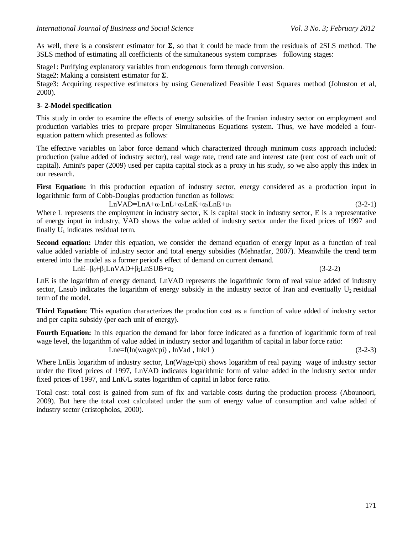As well, there is a consistent estimator for  $\Sigma$ , so that it could be made from the residuals of 2SLS method. The 3SLS method of estimating all coefficients of the simultaneous system comprises following stages:

Stage1: Purifying explanatory variables from endogenous form through conversion.

Stage2: Making a consistent estimator for  $\Sigma$ .

Stage3: Acquiring respective estimators by using Generalized Feasible Least Squares method (Johnston et al, 2000).

#### **3- 2-Model specification**

This study in order to examine the effects of energy subsidies of the Iranian industry sector on employment and production variables tries to prepare proper Simultaneous Equations system. Thus, we have modeled a fourequation pattern which presented as follows:

The effective variables on labor force demand which characterized through minimum costs approach included: production (value added of industry sector), real wage rate, trend rate and interest rate (rent cost of each unit of capital). Amini's paper (2009) used per capita capital stock as a proxy in his study, so we also apply this index in our research.

First Equation: in this production equation of industry sector, energy considered as a production input in logarithmic form of Cobb-Douglas production function as follows:

$$
LnVAD=LnA+\alpha_1LnL+\alpha_2LnK+\alpha_3LnE+u_1
$$
\n(3-2-1)

Lne=f(ln(wage/cpi), lnVad, lnk/l) (3-2-3)

Where L represents the employment in industry sector, K is capital stock in industry sector, E is a representative of energy input in industry, VAD shows the value added of industry sector under the fixed prices of 1997 and finally  $U_1$  indicates residual term.

**Second equation:** Under this equation, we consider the demand equation of energy input as a function of real value added variable of industry sector and total energy subsidies (Mehnatfar, 2007). Meanwhile the trend term entered into the model as a former period's effect of demand on current demand.

 $LnE=β<sub>0</sub>+β<sub>1</sub>LnVAD+β<sub>2</sub>LnSUB+u<sub>2</sub>$  (3-2-2)

LnE is the logarithm of energy demand, LnVAD represents the logarithmic form of real value added of industry sector, Lnsub indicates the logarithm of energy subsidy in the industry sector of Iran and eventually  $U_2$  residual term of the model.

**Third Equation**: This equation characterizes the production cost as a function of value added of industry sector and per capita subsidy (per each unit of energy).

**Fourth Equation:** In this equation the demand for labor force indicated as a function of logarithmic form of real wage level, the logarithm of value added in industry sector and logarithm of capital in labor force ratio:

Where LnEis logarithm of industry sector, Ln(Wage/cpi) shows logarithm of real paying wage of industry sector under the fixed prices of 1997, LnVAD indicates logarithmic form of value added in the industry sector under fixed prices of 1997, and LnK/L states logarithm of capital in labor force ratio.

Total cost: total cost is gained from sum of fix and variable costs during the production process (Abounoori, 2009). But here the total cost calculated under the sum of energy value of consumption and value added of industry sector (cristopholos, 2000).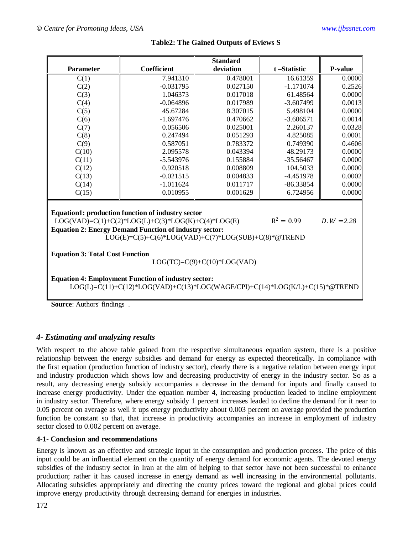|                                                                                                                                                                                                                                                                    |             | <b>Standard</b> |             |                |  |  |  |  |  |
|--------------------------------------------------------------------------------------------------------------------------------------------------------------------------------------------------------------------------------------------------------------------|-------------|-----------------|-------------|----------------|--|--|--|--|--|
| Parameter                                                                                                                                                                                                                                                          | Coefficient | deviation       | t-Statistic | <b>P-value</b> |  |  |  |  |  |
| C(1)                                                                                                                                                                                                                                                               | 7.941310    | 0.478001        | 16.61359    | 0.0000         |  |  |  |  |  |
| C(2)                                                                                                                                                                                                                                                               | $-0.031795$ | 0.027150        | $-1.171074$ | 0.2526         |  |  |  |  |  |
| C(3)                                                                                                                                                                                                                                                               | 1.046373    | 0.017018        | 61.48564    | 0.0000         |  |  |  |  |  |
| C(4)                                                                                                                                                                                                                                                               | $-0.064896$ | 0.017989        | $-3.607499$ | 0.0013         |  |  |  |  |  |
| C(5)                                                                                                                                                                                                                                                               | 45.67284    | 8.307015        | 5.498104    | 0.0000         |  |  |  |  |  |
| C(6)                                                                                                                                                                                                                                                               | $-1.697476$ | 0.470662        | $-3.606571$ | 0.0014         |  |  |  |  |  |
| C(7)                                                                                                                                                                                                                                                               | 0.056506    | 0.025001        | 2.260137    | 0.0328         |  |  |  |  |  |
| C(8)                                                                                                                                                                                                                                                               | 0.247494    | 0.051293        | 4.825085    | 0.0001         |  |  |  |  |  |
| C(9)                                                                                                                                                                                                                                                               | 0.587051    | 0.783372        | 0.749390    | 0.4606         |  |  |  |  |  |
| C(10)                                                                                                                                                                                                                                                              | 2.095578    | 0.043394        | 48.29173    | 0.0000         |  |  |  |  |  |
| C(11)                                                                                                                                                                                                                                                              | $-5.543976$ | 0.155884        | $-35.56467$ | 0.0000         |  |  |  |  |  |
| C(12)                                                                                                                                                                                                                                                              | 0.920518    | 0.008809        | 104.5033    | 0.0000         |  |  |  |  |  |
| C(13)                                                                                                                                                                                                                                                              | $-0.021515$ | 0.004833        | $-4.451978$ | 0.0002         |  |  |  |  |  |
| C(14)                                                                                                                                                                                                                                                              | $-1.011624$ | 0.011717        | $-86.33854$ | 0.0000         |  |  |  |  |  |
| C(15)                                                                                                                                                                                                                                                              | 0.010955    | 0.001629        | 6.724956    | 0.0000         |  |  |  |  |  |
| Equation1: production function of industry sector<br>$R^2 = 0.99$<br>$LOG(VAD)=C(1)+C(2)*LOG(L)+C(3)*LOG(K)+C(4)*LOG(E)$<br>$D.W = 2.28$<br><b>Equation 2: Energy Demand Function of industry sector:</b><br>$LOG(E)=C(5)+C(6)*LOG(VAD)+C(7)*LOG(SUB)+C(8)*@TREND$ |             |                 |             |                |  |  |  |  |  |
| <b>Equation 3: Total Cost Function</b><br>$LOG(TC)=C(9)+C(10)*LOG(VAD)$                                                                                                                                                                                            |             |                 |             |                |  |  |  |  |  |
| <b>Equation 4: Employment Function of industry sector:</b><br>$LOG(L)=C(11)+C(12)*LOG(VAD)+C(13)*LOG(WAGE/CPI)+C(14)*LOG(K/L)+C(15)*@TREND$<br><b>Source:</b> Authors' findings                                                                                    |             |                 |             |                |  |  |  |  |  |

#### **Table2: The Gained Outputs of Eviews S**

## *4- Estimating and analyzing results*

With respect to the above table gained from the respective simultaneous equation system, there is a positive relationship between the energy subsidies and demand for energy as expected theoretically. In compliance with the first equation (production function of industry sector), clearly there is a negative relation between energy input and industry production which shows low and decreasing productivity of energy in the industry sector. So as a result, any decreasing energy subsidy accompanies a decrease in the demand for inputs and finally caused to increase energy productivity. Under the equation number 4, increasing production leaded to incline employment in industry sector. Therefore, where energy subsidy 1 percent increases leaded to decline the demand for it near to 0.05 percent on average as well it ups energy productivity about 0.003 percent on average provided the production function be constant so that, that increase in productivity accompanies an increase in employment of industry sector closed to 0.002 percent on average.

#### **4-1- Conclusion and recommendations**

Energy is known as an effective and strategic input in the consumption and production process. The price of this input could be an influential element on the quantity of energy demand for economic agents. The devoted energy subsidies of the industry sector in Iran at the aim of helping to that sector have not been successful to enhance production; rather it has caused increase in energy demand as well increasing in the environmental pollutants. Allocating subsidies appropriately and directing the county prices toward the regional and global prices could improve energy productivity through decreasing demand for energies in industries.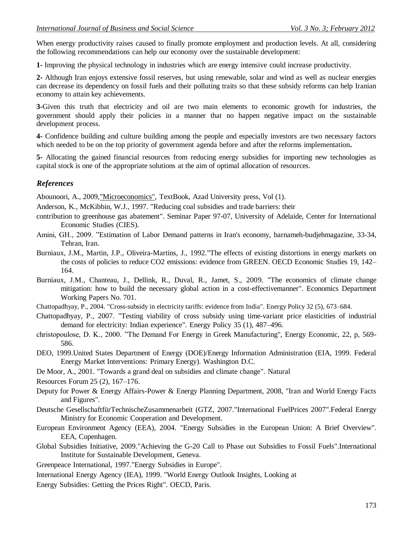When energy productivity raises caused to finally promote employment and production levels. At all, considering the following recommendations can help our economy over the sustainable development:

**1-** Improving the physical technology in industries which are energy intensive could increase productivity.

**2-** Although Iran enjoys extensive fossil reserves, but using renewable, solar and wind as well as nuclear energies can decrease its dependency on fossil fuels and their polluting traits so that these subsidy reforms can help Iranian economy to attain key achievements.

**3-**Given this truth that electricity and oil are two main elements to economic growth for industries, the government should apply their policies in a manner that no happen negative impact on the sustainable development process.

**4-** Confidence building and culture building among the people and especially investors are two necessary factors which needed to be on the top priority of government agenda before and after the reforms implementation.

**5-** Allocating the gained financial resources from reducing energy subsidies for importing new technologies as capital stock is one of the appropriate solutions at the aim of optimal allocation of resources.

## *References*

Abounoori, A., 2009,"Microeconomics", TextBook, Azad University press, Vol (1).

Anderson, K., McKibbin, W.J., 1997. "Reducing coal subsidies and trade barriers: their

- contribution to greenhouse gas abatement". Seminar Paper 97-07, University of Adelaide, Center for International Economic Studies (CIES).
- Amini, GH., 2009. "Estimation of Labor Demand patterns in Iran's economy, barnameh-budjehmagazine, 33-34, Tehran, Iran.
- Burniaux, J.M., Martin, J.P., Oliveira-Martins, J., 1992."The effects of existing distortions in energy markets on the costs of policies to reduce CO2 emissions: evidence from GREEN. OECD Economic Studies 19, 142– 164.
- Burniaux, J.M., Chanteau, J., Dellink, R., Duval, R., Jamet, S., 2009. "The economics of climate change mitigation: how to build the necessary global action in a cost-effectivemanner". Economics Department Working Papers No. 701.
- Chattopadhyay, P., 2004. "Cross-subsidy in electricity tariffs: evidence from India". Energy Policy 32 (5), 673–684.
- Chattopadhyay, P., 2007. "Testing viability of cross subsidy using time-variant price elasticities of industrial demand for electricity: Indian experience". Energy Policy 35 (1), 487–496.
- christopoulose, D. K., 2000. "The Demand For Energy in Greek Manufacturing", Energy Economic, 22, p, 569- 586.
- DEO, 1999.United States Department of Energy (DOE)/Energy Information Administration (EIA, 1999. Federal Energy Market Interventions: Primary Energy). Washington D.C.
- De Moor, A., 2001. "Towards a grand deal on subsidies and climate change". Natural
- Resources Forum 25 (2), 167–176.
- Deputy for Power & Energy Affairs-Power & Energy Planning Department, 2008, "Iran and World Energy Facts and Figures".
- Deutsche GesellschaftfürTechnischeZusammenarbeit (GTZ, 2007."International FuelPrices 2007".Federal Energy Ministry for Economic Cooperation and Development.
- European Environment Agency (EEA), 2004. "Energy Subsidies in the European Union: A Brief Overview". EEA, Copenhagen.
- Global Subsidies Initiative, 2009."Achieving the G-20 Call to Phase out Subsidies to Fossil Fuels".International Institute for Sustainable Development, Geneva.
- Greenpeace International, 1997."Energy Subsidies in Europe".
- International Energy Agency (IEA), 1999. "World Energy Outlook Insights, Looking at
- Energy Subsidies: Getting the Prices Right". OECD, Paris.